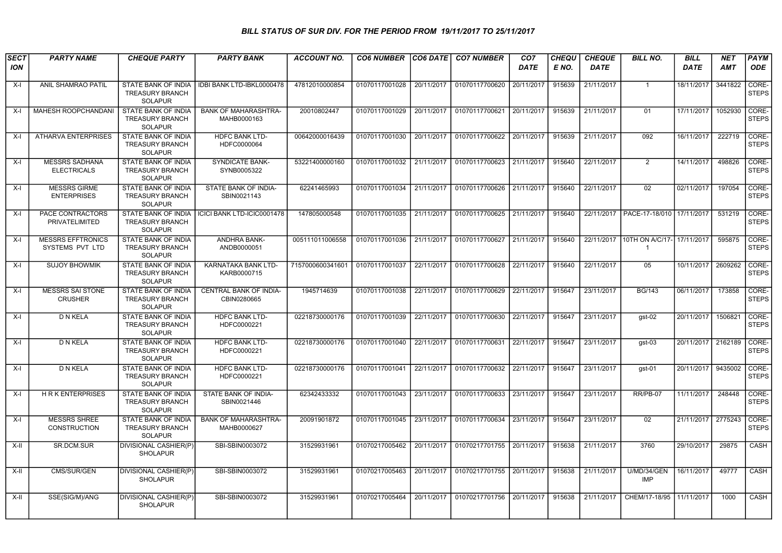## BILL STATUS OF SUR DIV. FOR THE PERIOD FROM 19/11/2017 TO 25/11/2017

| <b>SECT</b><br><b>ION</b> | <b>PARTY NAME</b>                           | <b>CHEQUE PARTY</b>                                                    | <b>PARTY BANK</b>                            | <b>ACCOUNT NO.</b> | <b>CO6 NUMBER</b>         | <b>CO6 DATE</b> | <b>CO7 NUMBER</b>                | CO <sub>7</sub><br><b>DATE</b> | <b>CHEQU</b><br>E NO. | <b>CHEQUE</b><br><b>DATE</b> | <b>BILL NO.</b>                              | <b>BILL</b><br><b>DATE</b> | <b>NET</b><br><b>AMT</b> | PAYM<br><b>ODE</b>    |
|---------------------------|---------------------------------------------|------------------------------------------------------------------------|----------------------------------------------|--------------------|---------------------------|-----------------|----------------------------------|--------------------------------|-----------------------|------------------------------|----------------------------------------------|----------------------------|--------------------------|-----------------------|
| X-I                       | ANIL SHAMRAO PATIL                          | STATE BANK OF INDIA<br><b>TREASURY BRANCH</b><br><b>SOLAPUR</b>        | IDBI BANK LTD-IBKL0000478                    | 47812010000854     | 01070117001028            | 20/11/2017      | 01070117700620                   | 20/11/2017                     | 915639                | 21/11/2017                   | $\overline{1}$                               | 18/11/2017                 | 3441822                  | CORE-<br><b>STEPS</b> |
| X-I                       | <b>MAHESH ROOPCHANDANI</b>                  | <b>STATE BANK OF INDIA</b><br><b>TREASURY BRANCH</b><br><b>SOLAPUR</b> | <b>BANK OF MAHARASHTRA-</b><br>MAHB0000163   | 20010802447        | 01070117001029            | 20/11/2017      | 01070117700621 20/11/2017        |                                | 915639                | 21/11/2017                   | 01                                           | 17/11/2017                 | 1052930                  | CORE-<br><b>STEPS</b> |
| X-I                       | <b>ATHARVA ENTERPRISES</b>                  | <b>STATE BANK OF INDIA</b><br><b>TREASURY BRANCH</b><br><b>SOLAPUR</b> | <b>HDFC BANK LTD-</b><br>HDFC0000064         | 00642000016439     | 01070117001030            | 20/11/2017      | 01070117700622 20/11/2017        |                                | 915639                | 21/11/2017                   | 092                                          | 16/11/2017                 | 222719                   | CORE-<br><b>STEPS</b> |
| X-I                       | <b>MESSRS SADHANA</b><br><b>ELECTRICALS</b> | STATE BANK OF INDIA<br><b>TREASURY BRANCH</b><br><b>SOLAPUR</b>        | SYNDICATE BANK-<br>SYNB0005322               | 53221400000160     | 01070117001032 21/11/2017 |                 | 01070117700623 21/11/2017        |                                | 915640                | 22/11/2017                   | 2                                            | 14/11/2017                 | 498826                   | CORE-<br><b>STEPS</b> |
| X-I                       | <b>MESSRS GIRME</b><br><b>ENTERPRISES</b>   | <b>STATE BANK OF INDIA</b><br><b>TREASURY BRANCH</b><br><b>SOLAPUR</b> | STATE BANK OF INDIA-<br>SBIN0021143          | 62241465993        | 01070117001034            | 21/11/2017      | 01070117700626 21/11/2017        |                                | 915640                | 22/11/2017                   | 02                                           | $\sqrt{02/11/20}17$        | 197054                   | CORE-<br><b>STEPS</b> |
| X-I                       | PACE CONTRACTORS<br>PRIVATELIMITED          | STATE BANK OF INDIA<br><b>TREASURY BRANCH</b><br><b>SOLAPUR</b>        | ICICI BANK LTD-ICIC0001478                   | 147805000548       | 01070117001035 21/11/2017 |                 | 01070117700625 21/11/2017 915640 |                                |                       |                              | 22/11/2017   PACE-17-18/010   17/11/2017     |                            | 531219                   | CORE-<br><b>STEPS</b> |
| X-I                       | <b>MESSRS EFFTRONICS</b><br>SYSTEMS PVT LTD | <b>STATE BANK OF INDIA</b><br><b>TREASURY BRANCH</b><br><b>SOLAPUR</b> | ANDHRA BANK-<br>ANDB0000051                  | 005111011006558    | 01070117001036            | 21/11/2017      | 01070117700627 21/11/2017        |                                | 915640                | 22/11/2017                   | 10TH ON A/C/17- 17/11/2017<br>$\overline{1}$ |                            | 595875                   | CORE-<br><b>STEPS</b> |
| $X-I$                     | <b>SUJOY BHOWMIK</b>                        | <b>STATE BANK OF INDIA</b><br><b>TREASURY BRANCH</b><br><b>SOLAPUR</b> | KARNATAKA BANK LTD-<br>KARB0000715           | 7157000600341601   | 01070117001037            | 22/11/2017      | 01070117700628                   | 22/11/2017                     | 915640                | 22/11/2017                   | 05                                           | 10/11/2017                 | 2609262                  | CORE-<br><b>STEPS</b> |
| X-I                       | <b>MESSRS SAI STONE</b><br><b>CRUSHER</b>   | STATE BANK OF INDIA<br><b>TREASURY BRANCH</b><br><b>SOLAPUR</b>        | <b>CENTRAL BANK OF INDIA-</b><br>CBIN0280665 | 1945714639         | 01070117001038            | 22/11/2017      | 01070117700629                   | 22/11/2017                     | 915647                | 23/11/2017                   | <b>BG/143</b>                                | 06/11/2017                 | 173858                   | CORE-<br><b>STEPS</b> |
| X-I                       | D N KELA                                    | STATE BANK OF INDIA<br><b>TREASURY BRANCH</b><br><b>SOLAPUR</b>        | <b>HDFC BANK LTD-</b><br>HDFC0000221         | 02218730000176     | 01070117001039            | 22/11/2017      | 01070117700630                   | 22/11/2017                     | 915647                | 23/11/2017                   | gst-02                                       | 20/11/2017                 | 1506821                  | CORE-<br><b>STEPS</b> |
| X-I                       | D N KELA                                    | STATE BANK OF INDIA<br><b>TREASURY BRANCH</b><br><b>SOLAPUR</b>        | <b>HDFC BANK LTD-</b><br>HDFC0000221         | 02218730000176     | 01070117001040            | 22/11/2017      | 01070117700631                   | 22/11/2017                     | 915647                | 23/11/2017                   | gst-03                                       | 20/11/2017                 | 2162189                  | CORE-<br><b>STEPS</b> |
| X-I                       | <b>D N KELA</b>                             | <b>STATE BANK OF INDIA</b><br><b>TREASURY BRANCH</b><br><b>SOLAPUR</b> | <b>HDFC BANK LTD-</b><br>HDFC0000221         | 02218730000176     | 01070117001041            | 22/11/2017      | 01070117700632 22/11/2017        |                                | 915647                | 23/11/2017                   | gst-01                                       | 20/11/2017                 | 9435002                  | CORE-<br><b>STEPS</b> |
| X-I                       | <b>HRKENTERPRISES</b>                       | STATE BANK OF INDIA<br><b>TREASURY BRANCH</b><br><b>SOLAPUR</b>        | STATE BANK OF INDIA-<br>SBIN0021446          | 62342433332        | 01070117001043            | 23/11/2017      | 01070117700633 23/11/2017        |                                | 915647                | 23/11/2017                   | RR/PB-07                                     | 11/11/2017                 | 248448                   | CORE-<br><b>STEPS</b> |
| X-I                       | <b>MESSRS SHREE</b><br><b>CONSTRUCTION</b>  | <b>STATE BANK OF INDIA</b><br><b>TREASURY BRANCH</b><br><b>SOLAPUR</b> | <b>BANK OF MAHARASHTRA-</b><br>MAHB0000627   | 20091901872        | 01070117001045            | 23/11/2017      | 01070117700634 23/11/2017        |                                | 915647                | 23/11/2017                   | 02                                           | 21/11/2017                 | 2775243                  | CORE-<br><b>STEPS</b> |
| X-II                      | SR.DCM.SUR                                  | DIVISIONAL CASHIER(P)<br><b>SHOLAPUR</b>                               | SBI-SBIN0003072                              | 31529931961        | 01070217005462            | 20/11/2017      | 01070217701755 20/11/2017        |                                | 915638                | 21/11/2017                   | 3760                                         | 29/10/2017                 | 29875                    | CASH                  |
| $X-H$                     | <b>CMS/SUR/GEN</b>                          | <b>DIVISIONAL CASHIER(P)</b><br><b>SHOLAPUR</b>                        | SBI-SBIN0003072                              | 31529931961        | 01070217005463            | 20/11/2017      | 01070217701755 20/11/2017        |                                | 915638                | 21/11/2017                   | U/MD/34/GEN<br><b>IMP</b>                    | 16/11/2017                 | 49777                    | <b>CASH</b>           |
| $X-H$                     | SSE(SIG/M)/ANG                              | DIVISIONAL CASHIER(P)<br><b>SHOLAPUR</b>                               | SBI-SBIN0003072                              | 31529931961        | 01070217005464            | 20/11/2017      | 01070217701756 20/11/2017        |                                | 915638                | 21/11/2017                   | CHEM/17-18/95                                | 11/11/2017                 | 1000                     | CASH                  |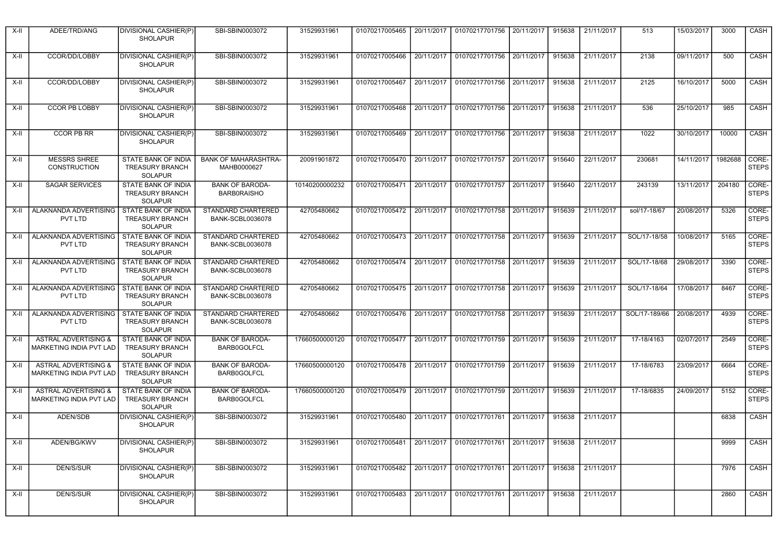| X-II   | ADEE/TRD/ANG                                               | DIVISIONAL CASHIER(P)<br><b>SHOLAPUR</b>                               | SBI-SBIN0003072                                      | 31529931961    | 01070217005465                                                                  | 20/11/2017 | 01070217701756                                             | 20/11/2017 | 915638 | 21/11/2017        | 513           | 15/03/2017 | 3000    | CASH                  |
|--------|------------------------------------------------------------|------------------------------------------------------------------------|------------------------------------------------------|----------------|---------------------------------------------------------------------------------|------------|------------------------------------------------------------|------------|--------|-------------------|---------------|------------|---------|-----------------------|
| X-II   | CCOR/DD/LOBBY                                              | <b>DIVISIONAL CASHIER(P)</b><br><b>SHOLAPUR</b>                        | SBI-SBIN0003072                                      | 31529931961    | 01070217005466                                                                  | 20/11/2017 | 01070217701756 20/11/2017                                  |            | 915638 | 21/11/2017        | 2138          | 09/11/2017 | 500     | CASH                  |
| X-II   | CCOR/DD/LOBBY                                              | DIVISIONAL CASHIER(P)<br><b>SHOLAPUR</b>                               | SBI-SBIN0003072                                      | 31529931961    | 01070217005467                                                                  | 20/11/2017 | 01070217701756                                             | 20/11/2017 | 915638 | 21/11/2017        | 2125          | 16/10/2017 | 5000    | CASH                  |
| X-II   | <b>CCOR PB LOBBY</b>                                       | DIVISIONAL CASHIER(P)<br><b>SHOLAPUR</b>                               | SBI-SBIN0003072                                      | 31529931961    | 01070217005468                                                                  | 20/11/2017 | 01070217701756 20/11/2017                                  |            | 915638 | 21/11/2017        | 536           | 25/10/2017 | 985     | CASH                  |
| X-II   | <b>CCOR PB RR</b>                                          | <b>DIVISIONAL CASHIER(P)</b><br><b>SHOLAPUR</b>                        | SBI-SBIN0003072                                      | 31529931961    | 01070217005469                                                                  | 20/11/2017 | 01070217701756                                             | 20/11/2017 | 915638 | 21/11/2017        | 1022          | 30/10/2017 | 10000   | CASH                  |
| X-II   | <b>MESSRS SHREE</b><br><b>CONSTRUCTION</b>                 | STATE BANK OF INDIA<br><b>TREASURY BRANCH</b><br>SOLAPUR               | <b>BANK OF MAHARASHTRA-</b><br>MAHB0000627           | 20091901872    | 01070217005470                                                                  |            | 20/11/2017 01070217701757 20/11/2017                       |            | 915640 | 22/11/2017        | 230681        | 14/11/2017 | 1982688 | CORE-<br><b>STEPS</b> |
| X-II   | <b>SAGAR SERVICES</b>                                      | <b>STATE BANK OF INDIA</b><br><b>TREASURY BRANCH</b><br><b>SOLAPUR</b> | <b>BANK OF BARODA-</b><br><b>BARBORAISHO</b>         | 10140200000232 | 01070217005471                                                                  | 20/11/2017 | 01070217701757                                             | 20/11/2017 | 915640 | 22/11/2017        | 243139        | 13/11/2017 | 204180  | CORE-<br><b>STEPS</b> |
| X-II   | ALAKNANDA ADVERTISING<br><b>PVT LTD</b>                    | STATE BANK OF INDIA<br><b>TREASURY BRANCH</b><br><b>SOLAPUR</b>        | STANDARD CHARTERED<br><b>BANK-SCBL0036078</b>        | 42705480662    | 01070217005472                                                                  | 20/11/2017 | 01070217701758 20/11/2017                                  |            | 915639 | 21/11/2017        | sol/17-18/67  | 20/08/2017 | 5326    | CORE-<br><b>STEPS</b> |
| X-II   | ALAKNANDA ADVERTISING<br>PVT LTD                           | <b>STATE BANK OF INDIA</b><br><b>TREASURY BRANCH</b><br><b>SOLAPUR</b> | <b>STANDARD CHARTERED</b><br><b>BANK-SCBL0036078</b> | 42705480662    | 01070217005473                                                                  |            | 20/11/2017 01070217701758 20/11/2017                       |            | 915639 | 21/11/2017        | SOL/17-18/58  | 10/08/2017 | 5165    | CORE-<br><b>STEPS</b> |
| X-II   | ALAKNANDA ADVERTISING<br>PVT LTD                           | STATE BANK OF INDIA<br><b>TREASURY BRANCH</b><br><b>SOLAPUR</b>        | STANDARD CHARTERED<br><b>BANK-SCBL0036078</b>        | 42705480662    | 01070217005474                                                                  | 20/11/2017 | 01070217701758 20/11/2017                                  |            | 915639 | 21/11/2017        | SOL/17-18/68  | 29/08/2017 | 3390    | CORE-<br><b>STEPS</b> |
| X-II   | ALAKNANDA ADVERTISING<br><b>PVT LTD</b>                    | STATE BANK OF INDIA<br><b>TREASURY BRANCH</b><br><b>SOLAPUR</b>        | STANDARD CHARTERED<br><b>BANK-SCBL0036078</b>        | 42705480662    | 01070217005475                                                                  | 20/11/2017 | 01070217701758 20/11/2017                                  |            | 915639 | 21/11/2017        | SOL/17-18/64  | 17/08/2017 | 8467    | CORE-<br><b>STEPS</b> |
| X-II   | ALAKNANDA ADVERTISING<br>PVT LTD                           | STATE BANK OF INDIA<br><b>TREASURY BRANCH</b><br><b>SOLAPUR</b>        | <b>STANDARD CHARTERED</b><br><b>BANK-SCBL0036078</b> | 42705480662    |                                                                                 |            | 01070217005476 20/11/2017 01070217701758 20/11/2017        |            | 915639 | 21/11/2017        | SOL/17-189/66 | 20/08/2017 | 4939    | CORE-<br><b>STEPS</b> |
| $X-II$ | <b>ASTRAL ADVERTISING &amp;</b><br>MARKETING INDIA PVT LAD | STATE BANK OF INDIA<br><b>TREASURY BRANCH</b><br><b>SOLAPUR</b>        | <b>BANK OF BARODA-</b><br>BARB0GOLFCL                | 17660500000120 | 01070217005477                                                                  | 20/11/2017 | 01070217701759                                             | 20/11/2017 | 915639 | 21/11/2017        | 17-18/4163    | 02/07/2017 | 2549    | CORE-<br><b>STEPS</b> |
| X-II   | ASTRAL ADVERTISING &<br>MARKETING INDIA PVT LAD            | STATE BANK OF INDIA<br><b>TREASURY BRANCH</b><br><b>SOLAPUR</b>        | <b>BANK OF BARODA-</b><br><b>BARB0GOLFCL</b>         | 17660500000120 | 01070217005478                                                                  |            | 20/11/2017   01070217701759   20/11/2017                   |            | 915639 | 21/11/2017        | 17-18/6783    | 23/09/2017 | 6664    | CORE-<br><b>STEPS</b> |
| X-II   | <b>ASTRAL ADVERTISING &amp;</b><br>MARKETING INDIA PVT LAD | <b>STATE BANK OF INDIA</b><br><b>TREASURY BRANCH</b><br><b>SOLAPUR</b> | <b>BANK OF BARODA-</b><br><b>BARB0GOLFCL</b>         | 17660500000120 | 01070217005479                                                                  | 20/11/2017 | 01070217701759 20/11/2017                                  |            | 915639 | 21/11/2017        | 17-18/6835    | 24/09/2017 | 5152    | CORE-<br><b>STEPS</b> |
| X-II   | ADEN/SDB                                                   | DIVISIONAL CASHIER(P)<br><b>SHOLAPUR</b>                               | SBI-SBIN0003072                                      | 31529931961    | 01070217005480                                                                  | 20/11/2017 | 01070217701761                                             | 20/11/2017 | 915638 | 21/11/2017        |               |            | 6838    | CASH                  |
| $X-H$  | ADEN/BG/KWV                                                | <b>DIVISIONAL CASHIER(P)</b><br>SHOLAPUR                               | SBI-SBIN0003072                                      | 31529931961    | 01070217005481   20/11/2017   01070217701761   20/11/2017   915638   21/11/2017 |            |                                                            |            |        |                   |               |            | 9999    | CASH                  |
| $X-H$  | DEN/S/SUR                                                  | <b>DIVISIONAL CASHIER(P)</b><br><b>SHOLAPUR</b>                        | SBI-SBIN0003072                                      | 31529931961    | 01070217005482                                                                  |            | 20/11/2017 01070217701761 20/11/2017                       |            |        | 915638 21/11/2017 |               |            | 7976    | CASH                  |
| $X-I$  | DEN/S/SUR                                                  | DIVISIONAL CASHIER(P)<br><b>SHOLAPUR</b>                               | SBI-SBIN0003072                                      | 31529931961    |                                                                                 |            | 01070217005483 20/11/2017 01070217701761 20/11/2017 915638 |            |        | 21/11/2017        |               |            | 2860    | CASH                  |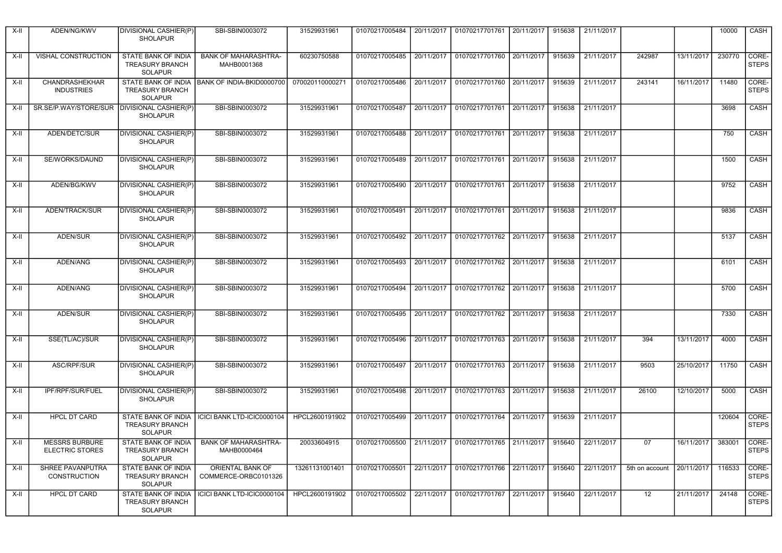| X-II   | ADEN/NG/KWV                                     | DIVISIONAL CASHIER(P)<br><b>SHOLAPUR</b>                               | SBI-SBIN0003072                            | 31529931961     | 01070217005484                                                                  | 20/11/2017 | 01070217701761 20/11/2017                                 |            | 915638 | 21/11/2017 |                           |                         | 10000  | CASH                  |
|--------|-------------------------------------------------|------------------------------------------------------------------------|--------------------------------------------|-----------------|---------------------------------------------------------------------------------|------------|-----------------------------------------------------------|------------|--------|------------|---------------------------|-------------------------|--------|-----------------------|
| X-II   | VISHAL CONSTRUCTION                             | <b>STATE BANK OF INDIA</b><br><b>TREASURY BRANCH</b><br><b>SOLAPUR</b> | <b>BANK OF MAHARASHTRA-</b><br>MAHB0001368 | 60230750588     | 01070217005485                                                                  | 20/11/2017 | 01070217701760 20/11/2017                                 |            | 915639 | 21/11/2017 | 242987                    | 13/11/2017              | 230770 | CORE-<br><b>STEPS</b> |
| X-II   | CHANDRASHEKHAR<br><b>INDUSTRIES</b>             | <b>STATE BANK OF INDIA</b><br><b>TREASURY BRANCH</b><br><b>SOLAPUR</b> | BANK OF INDIA-BKID0000700                  | 070020110000271 | 01070217005486                                                                  | 20/11/2017 | 01070217701760 20/11/2017                                 |            | 915639 | 21/11/2017 | 243141                    | 16/11/2017              | 11480  | CORE-<br><b>STEPS</b> |
| $X-H$  | SR.SE/P.WAY/STORE/SUR   DIVISIONAL CASHIER(P)   | <b>SHOLAPUR</b>                                                        | SBI-SBIN0003072                            | 31529931961     | 01070217005487                                                                  |            | 20/11/2017 01070217701761 20/11/2017                      |            | 915638 | 21/11/2017 |                           |                         | 3698   | CASH                  |
| X-II   | ADEN/DETC/SUR                                   | DIVISIONAL CASHIER(P)<br><b>SHOLAPUR</b>                               | SBI-SBIN0003072                            | 31529931961     | 01070217005488                                                                  | 20/11/2017 | 01070217701761 20/11/2017                                 |            | 915638 | 21/11/2017 |                           |                         | 750    | CASH                  |
| X-II   | SE/WORKS/DAUND                                  | DIVISIONAL CASHIER(P)<br><b>SHOLAPUR</b>                               | SBI-SBIN0003072                            | 31529931961     | 01070217005489                                                                  |            | 20/11/2017   01070217701761   20/11/2017                  |            | 915638 | 21/11/2017 |                           |                         | 1500   | CASH                  |
| X-II   | ADEN/BG/KWV                                     | DIVISIONAL CASHIER(P)<br><b>SHOLAPUR</b>                               | SBI-SBIN0003072                            | 31529931961     | 01070217005490                                                                  |            | 20/11/2017 01070217701761 20/11/2017                      |            | 915638 | 21/11/2017 |                           |                         | 9752   | CASH                  |
| X-II   | ADEN/TRACK/SUR                                  | DIVISIONAL CASHIER(P)<br><b>SHOLAPUR</b>                               | SBI-SBIN0003072                            | 31529931961     | 01070217005491                                                                  | 20/11/2017 | 01070217701761 20/11/2017                                 |            | 915638 | 21/11/2017 |                           |                         | 9836   | CASH                  |
| X-II   | <b>ADEN/SUR</b>                                 | DIVISIONAL CASHIER(P)<br><b>SHOLAPUR</b>                               | SBI-SBIN0003072                            | 31529931961     |                                                                                 |            | 01070217005492 20/11/2017 01070217701762 20/11/2017       |            | 915638 | 21/11/2017 |                           |                         | 5137   | CASH                  |
| $X-H$  | ADEN/ANG                                        | <b>DIVISIONAL CASHIER(P)</b><br><b>SHOLAPUR</b>                        | SBI-SBIN0003072                            | 31529931961     | 01070217005493                                                                  |            | 20/11/2017 01070217701762 20/11/2017                      |            | 915638 | 21/11/2017 |                           |                         | 6101   | CASH                  |
| X-II   | ADEN/ANG                                        | <b>DIVISIONAL CASHIER(P)</b><br><b>SHOLAPUR</b>                        | SBI-SBIN0003072                            | 31529931961     | 01070217005494                                                                  |            | 20/11/2017 01070217701762 20/11/2017                      |            | 915638 | 21/11/2017 |                           |                         | 5700   | CASH                  |
| X-II   | ADEN/SUR                                        | DIVISIONAL CASHIER(P)<br><b>SHOLAPUR</b>                               | SBI-SBIN0003072                            | 31529931961     |                                                                                 |            | 01070217005495   20/11/2017   01070217701762   20/11/2017 |            | 915638 | 21/11/2017 |                           |                         | 7330   | CASH                  |
| X-II   | SSE(TL/AC)/SUR                                  | <b>DIVISIONAL CASHIER(P)</b><br><b>SHOLAPUR</b>                        | SBI-SBIN0003072                            | 31529931961     | 01070217005496                                                                  | 20/11/2017 | 01070217701763 20/11/2017                                 |            | 915638 | 21/11/2017 | 394                       | 13/11/2017              | 4000   | CASH                  |
| X-II   | ASC/RPF/SUR                                     | DIVISIONAL CASHIER(P)<br><b>SHOLAPUR</b>                               | SBI-SBIN0003072                            | 31529931961     | 01070217005497                                                                  | 20/11/2017 | 01070217701763 20/11/2017                                 |            | 915638 | 21/11/2017 | 9503                      | 25/10/2017              | 11750  | CASH                  |
| X-II   | IPF/RPF/SUR/FUEL                                | DIVISIONAL CASHIER(P)<br><b>SHOLAPUR</b>                               | SBI-SBIN0003072                            | 31529931961     | 01070217005498                                                                  | 20/11/2017 | 01070217701763 20/11/2017                                 |            | 915638 | 21/11/2017 | 26100                     | 12/10/2017              | 5000   | CASH                  |
| X-II   | <b>HPCL DT CARD</b>                             | STATE BANK OF INDIA<br><b>TREASURY BRANCH</b><br><b>SOLAPUR</b>        | ICICI BANK LTD-ICIC0000104                 | HPCL2600191902  | 01070217005499                                                                  | 20/11/2017 | 01070217701764                                            | 20/11/2017 | 915639 | 21/11/2017 |                           |                         | 120604 | CORE-<br><b>STEPS</b> |
| $x-1$  | <b>MESSRS BURBURE</b><br><b>ELECTRIC STORES</b> | STATE BANK OF INDIA<br><b>TREASURY BRANCH</b><br>SOLAPUR               | <b>BANK OF MAHARASHTRA-</b><br>MAHB0000464 | 20033604915     | 01070217005500   21/11/2017   01070217701765   21/11/2017   915640   22/11/2017 |            |                                                           |            |        |            | 07                        | 16/11/2017 383001 CORE- |        | <b>STEPS</b>          |
| $X-H$  | SHREE PAVANPUTRA<br>CONSTRUCTION                | STATE BANK OF INDIA<br><b>TREASURY BRANCH</b><br><b>SOLAPUR</b>        | ORIENTAL BANK OF<br>COMMERCE-ORBC0101326   | 13261131001401  | 01070217005501                                                                  | 22/11/2017 | 01070217701766 22/11/2017                                 |            | 915640 | 22/11/2017 | 5th on account 20/11/2017 |                         | 116533 | CORE-<br><b>STEPS</b> |
| $X-II$ | <b>HPCL DT CARD</b>                             | <b>STATE BANK OF INDIA</b><br><b>TREASURY BRANCH</b><br>SOLAPUR        | ICICI BANK LTD-ICIC0000104                 | HPCL2600191902  | 01070217005502                                                                  |            | 22/11/2017 01070217701767 22/11/2017                      |            | 915640 | 22/11/2017 | 12                        | 21/11/2017              | 24148  | CORE-<br><b>STEPS</b> |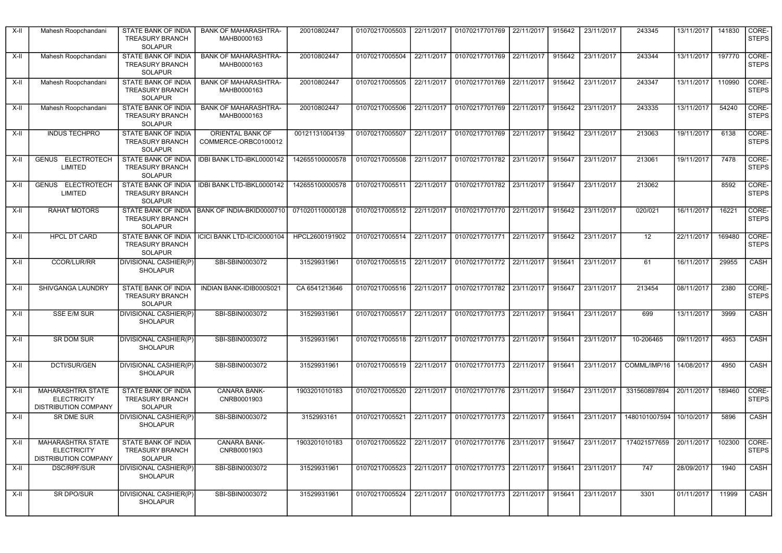| X-II   | Mahesh Roopchandani                                                           | STATE BANK OF INDIA<br><b>TREASURY BRANCH</b><br><b>SOLAPUR</b>        | <b>BANK OF MAHARASHTRA-</b><br>MAHB0000163 | 20010802447     | 01070217005503 | 22/11/2017 | 01070217701769 22/11/2017                                                                     |            | 915642 | 23/11/2017 | 243345        | 13/11/2017 | 141830 | CORE-<br><b>STEPS</b> |
|--------|-------------------------------------------------------------------------------|------------------------------------------------------------------------|--------------------------------------------|-----------------|----------------|------------|-----------------------------------------------------------------------------------------------|------------|--------|------------|---------------|------------|--------|-----------------------|
| X-II   | Mahesh Roopchandani                                                           | <b>STATE BANK OF INDIA</b><br><b>TREASURY BRANCH</b><br><b>SOLAPUR</b> | <b>BANK OF MAHARASHTRA-</b><br>MAHB0000163 | 20010802447     | 01070217005504 | 22/11/2017 | 01070217701769 22/11/2017                                                                     |            | 915642 | 23/11/2017 | 243344        | 13/11/2017 | 197770 | CORE-<br><b>STEPS</b> |
| $X-II$ | Mahesh Roopchandani                                                           | STATE BANK OF INDIA<br><b>TREASURY BRANCH</b><br><b>SOLAPUR</b>        | <b>BANK OF MAHARASHTRA-</b><br>MAHB0000163 | 20010802447     | 01070217005505 | 22/11/2017 | 01070217701769 22/11/2017                                                                     |            | 915642 | 23/11/2017 | 243347        | 13/11/2017 | 110990 | CORE-<br><b>STEPS</b> |
| X-II   | Mahesh Roopchandani                                                           | STATE BANK OF INDIA<br><b>TREASURY BRANCH</b><br><b>SOLAPUR</b>        | <b>BANK OF MAHARASHTRA-</b><br>MAHB0000163 | 20010802447     | 01070217005506 | 22/11/2017 | 01070217701769 22/11/2017                                                                     |            | 915642 | 23/11/2017 | 243335        | 13/11/2017 | 54240  | CORE-<br><b>STEPS</b> |
| X-II   | <b>INDUS TECHPRO</b>                                                          | STATE BANK OF INDIA<br><b>TREASURY BRANCH</b><br><b>SOLAPUR</b>        | ORIENTAL BANK OF<br>COMMERCE-ORBC0100012   | 00121131004139  | 01070217005507 | 22/11/2017 | 01070217701769                                                                                | 22/11/2017 | 915642 | 23/11/2017 | 213063        | 19/11/2017 | 6138   | CORE-<br><b>STEPS</b> |
| X-II   | <b>GENUS ELECTROTECH</b><br>LIMITED                                           | STATE BANK OF INDIA<br><b>TREASURY BRANCH</b><br><b>SOLAPUR</b>        | IDBI BANK LTD-IBKL0000142                  | 142655100000578 | 01070217005508 | 22/11/2017 | 01070217701782 23/11/2017                                                                     |            | 915647 | 23/11/2017 | 213061        | 19/11/2017 | 7478   | CORE-<br><b>STEPS</b> |
| X-II   | <b>GENUS ELECTROTECH</b><br>LIMITED                                           | <b>STATE BANK OF INDIA</b><br><b>TREASURY BRANCH</b><br><b>SOLAPUR</b> | IDBI BANK LTD-IBKL0000142                  | 142655100000578 | 01070217005511 | 22/11/2017 | 01070217701782 23/11/2017                                                                     |            | 915647 | 23/11/2017 | 213062        |            | 8592   | CORE-<br><b>STEPS</b> |
| X-II   | <b>RAHAT MOTORS</b>                                                           | STATE BANK OF INDIA<br><b>TREASURY BRANCH</b><br><b>SOLAPUR</b>        | BANK OF INDIA-BKID0000710                  | 071020110000128 | 01070217005512 | 22/11/2017 | 01070217701770 22/11/2017                                                                     |            | 915642 | 23/11/2017 | 020/021       | 16/11/2017 | 16221  | CORE-<br><b>STEPS</b> |
| X-II   | <b>HPCL DT CARD</b>                                                           | STATE BANK OF INDIA<br><b>TREASURY BRANCH</b><br><b>SOLAPUR</b>        | ICICI BANK LTD-ICIC0000104                 | HPCL2600191902  | 01070217005514 | 22/11/2017 | 01070217701771 22/11/2017                                                                     |            | 915642 | 23/11/2017 | 12            | 22/11/2017 | 169480 | CORE-<br><b>STEPS</b> |
| X-II   | <b>CCOR/LUR/RR</b>                                                            | DIVISIONAL CASHIER(P)<br><b>SHOLAPUR</b>                               | SBI-SBIN0003072                            | 31529931961     | 01070217005515 | 22/11/2017 | 01070217701772 22/11/2017                                                                     |            | 915641 | 23/11/2017 | 61            | 16/11/2017 | 29955  | <b>CASH</b>           |
| $X-II$ | SHIVGANGA LAUNDRY                                                             | STATE BANK OF INDIA<br><b>TREASURY BRANCH</b><br>SOLAPUR               | INDIAN BANK-IDIB000S021                    | CA 6541213646   | 01070217005516 | 22/11/2017 | 01070217701782 23/11/2017                                                                     |            | 915647 | 23/11/2017 | 213454        | 08/11/2017 | 2380   | CORE-<br><b>STEPS</b> |
| X-II   | SSE E/M SUR                                                                   | DIVISIONAL CASHIER(P)<br><b>SHOLAPUR</b>                               | SBI-SBIN0003072                            | 31529931961     | 01070217005517 | 22/11/2017 | 01070217701773 22/11/2017 915641                                                              |            |        | 23/11/2017 | 699           | 13/11/2017 | 3999   | CASH                  |
| X-II   | <b>SR DOM SUR</b>                                                             | DIVISIONAL CASHIER(P)<br><b>SHOLAPUR</b>                               | SBI-SBIN0003072                            | 31529931961     | 01070217005518 | 22/11/2017 | 01070217701773 22/11/2017                                                                     |            | 915641 | 23/11/2017 | 10-206465     | 09/11/2017 | 4953   | CASH                  |
| X-II   | DCTI/SUR/GEN                                                                  | DIVISIONAL CASHIER(P)<br><b>SHOLAPUR</b>                               | SBI-SBIN0003072                            | 31529931961     | 01070217005519 | 22/11/2017 | 01070217701773 22/11/2017                                                                     |            | 915641 | 23/11/2017 | COMML/IMP/16  | 14/08/2017 | 4950   | CASH                  |
| X-II   | <b>MAHARASHTRA STATE</b><br><b>ELECTRICITY</b><br><b>DISTRIBUTION COMPANY</b> | STATE BANK OF INDIA<br><b>TREASURY BRANCH</b><br><b>SOLAPUR</b>        | <b>CANARA BANK-</b><br>CNRB0001903         | 1903201010183   | 01070217005520 | 22/11/2017 | 01070217701776 23/11/2017                                                                     |            | 915647 | 23/11/2017 | 331560897894  | 20/11/2017 | 189460 | CORE-<br><b>STEPS</b> |
| X-II   | SR DME SUR                                                                    | <b>DIVISIONAL CASHIER(P)</b><br><b>SHOLAPUR</b>                        | SBI-SBIN0003072                            | 3152993161      | 01070217005521 | 22/11/2017 | 01070217701773 22/11/2017                                                                     |            | 915641 | 23/11/2017 | 1480101007594 | 10/10/2017 | 5896   | CASH                  |
|        | X-II MAHARASHTRA STATE<br><b>ELECTRICITY</b><br>DISTRIBUTION COMPANY          | STATE BANK OF INDIA<br><b>TREASURY BRANCH</b><br>SOLAPUR               | <b>CANARA BANK-</b><br>CNRB0001903         | 1903201010183   |                |            | 01070217005522 22/11/2017 01070217701776 23/11/2017 915647 23/11/2017 174021577659 20/11/2017 |            |        |            |               |            | 102300 | CORE-<br><b>STEPS</b> |
| X-II   | DSC/RPF/SUR                                                                   | <b>DIVISIONAL CASHIER(P)</b><br><b>SHOLAPUR</b>                        | SBI-SBIN0003072                            | 31529931961     | 01070217005523 | 22/11/2017 | 01070217701773 22/11/2017 915641                                                              |            |        | 23/11/2017 | 747           | 28/09/2017 | 1940   | CASH                  |
| X-II   | <b>SR DPO/SUR</b>                                                             | DIVISIONAL CASHIER(P)<br><b>SHOLAPUR</b>                               | SBI-SBIN0003072                            | 31529931961     | 01070217005524 | 22/11/2017 | 01070217701773 22/11/2017 915641                                                              |            |        | 23/11/2017 | 3301          | 01/11/2017 | 11999  | CASH                  |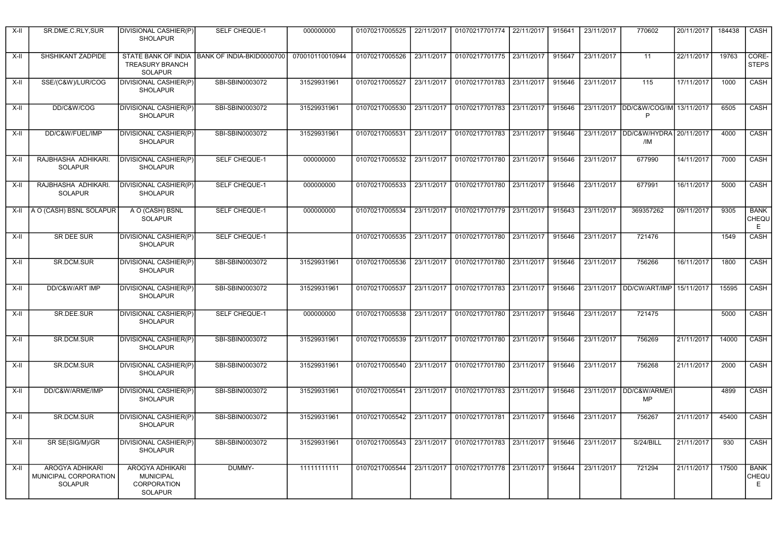| $X-II$ | SR.DME.C.RLY,SUR                                           | DIVISIONAL CASHIER(P)<br><b>SHOLAPUR</b>                                    | SELF CHEQUE-1             | 000000000       | 01070217005525 | 22/11/2017 | 01070217701774 22/11/2017 |            | 915641 | 23/11/2017 | 770602                                    | 20/11/2017 | 184438 | CASH                       |
|--------|------------------------------------------------------------|-----------------------------------------------------------------------------|---------------------------|-----------------|----------------|------------|---------------------------|------------|--------|------------|-------------------------------------------|------------|--------|----------------------------|
| $X-II$ | SHSHIKANT ZADPIDE                                          | <b>STATE BANK OF INDIA</b><br><b>TREASURY BRANCH</b><br><b>SOLAPUR</b>      | BANK OF INDIA-BKID0000700 | 070010110010944 | 01070217005526 | 23/11/2017 | 01070217701775 23/11/2017 |            | 915647 | 23/11/2017 | $\overline{11}$                           | 22/11/2017 | 19763  | CORE-<br><b>STEPS</b>      |
| X-II   | SSE/(C&W)/LUR/COG                                          | <b>DIVISIONAL CASHIER(P)</b><br><b>SHOLAPUR</b>                             | SBI-SBIN0003072           | 31529931961     | 01070217005527 | 23/11/2017 | 01070217701783 23/11/2017 |            | 915646 | 23/11/2017 | 115                                       | 17/11/2017 | 1000   | CASH                       |
| X-II   | DD/C&W/COG                                                 | <b>DIVISIONAL CASHIER(P)</b><br><b>SHOLAPUR</b>                             | SBI-SBIN0003072           | 31529931961     | 01070217005530 | 23/11/2017 | 01070217701783            | 23/11/2017 | 915646 |            | 23/11/2017  DD/C&W/COG/IM 13/11/2017<br>P |            | 6505   | CASH                       |
| $X-II$ | DD/C&W/FUEL/IMP                                            | <b>DIVISIONAL CASHIER(P)</b><br><b>SHOLAPUR</b>                             | SBI-SBIN0003072           | 31529931961     | 01070217005531 | 23/11/2017 | 01070217701783            | 23/11/2017 | 915646 | 23/11/2017 | DD/C&W/HYDRA<br>/IM                       | 20/11/2017 | 4000   | CASH                       |
| $X-II$ | RAJBHASHA ADHIKARI.<br><b>SOLAPUR</b>                      | DIVISIONAL CASHIER(P)<br><b>SHOLAPUR</b>                                    | <b>SELF CHEQUE-1</b>      | 000000000       | 01070217005532 | 23/11/2017 | 01070217701780 23/11/2017 |            | 915646 | 23/11/2017 | 677990                                    | 14/11/2017 | 7000   | CASH                       |
| $X-II$ | RAJBHASHA ADHIKARI.<br><b>SOLAPUR</b>                      | DIVISIONAL CASHIER(P)<br><b>SHOLAPUR</b>                                    | <b>SELF CHEQUE-1</b>      | 000000000       | 01070217005533 | 23/11/2017 | 01070217701780 23/11/2017 |            | 915646 | 23/11/2017 | 677991                                    | 16/11/2017 | 5000   | CASH                       |
| X-II   | A O (CASH) BSNL SOLAPUR                                    | A O (CASH) BSNL<br><b>SOLAPUR</b>                                           | SELF CHEQUE-1             | 000000000       | 01070217005534 | 23/11/2017 | 01070217701779 23/11/2017 |            | 915643 | 23/11/2017 | 369357262                                 | 09/11/2017 | 9305   | <b>BANK</b><br>CHEQU<br>E  |
| $X-H$  | <b>SR DEE SUR</b>                                          | <b>DIVISIONAL CASHIER(P)</b><br><b>SHOLAPUR</b>                             | SELF CHEQUE-1             |                 | 01070217005535 | 23/11/2017 | 01070217701780 23/11/2017 |            | 915646 | 23/11/2017 | 721476                                    |            | 1549   | CASH                       |
| $X-H$  | <b>SR.DCM.SUR</b>                                          | <b>DIVISIONAL CASHIER(P)</b><br><b>SHOLAPUR</b>                             | SBI-SBIN0003072           | 31529931961     | 01070217005536 | 23/11/2017 | 01070217701780 23/11/2017 |            | 915646 | 23/11/2017 | 756266                                    | 16/11/2017 | 1800   | CASH                       |
| $X-H$  | DD/C&W/ART IMP                                             | DIVISIONAL CASHIER(P)<br><b>SHOLAPUR</b>                                    | SBI-SBIN0003072           | 31529931961     | 01070217005537 | 23/11/2017 | 01070217701783            | 23/11/2017 | 915646 |            | 23/11/2017 DD/CW/ART/IMP                  | 15/11/2017 | 15595  | <b>CASH</b>                |
| $X-H$  | SR.DEE.SUR                                                 | <b>DIVISIONAL CASHIER(P)</b><br><b>SHOLAPUR</b>                             | <b>SELF CHEQUE-1</b>      | 000000000       | 01070217005538 | 23/11/2017 | 01070217701780 23/11/2017 |            | 915646 | 23/11/2017 | 721475                                    |            | 5000   | CASH                       |
| $X-H$  | <b>SR.DCM.SUR</b>                                          | <b>DIVISIONAL CASHIER(P)</b><br><b>SHOLAPUR</b>                             | SBI-SBIN0003072           | 31529931961     | 01070217005539 | 23/11/2017 | 01070217701780 23/11/2017 |            | 915646 | 23/11/2017 | 756269                                    | 21/11/2017 | 14000  | CASH                       |
| $X-H$  | <b>SR.DCM.SUR</b>                                          | <b>DIVISIONAL CASHIER(P)</b><br><b>SHOLAPUR</b>                             | SBI-SBIN0003072           | 31529931961     | 01070217005540 | 23/11/2017 | 01070217701780 23/11/2017 |            | 915646 | 23/11/2017 | 756268                                    | 21/11/2017 | 2000   | CASH                       |
| $X-II$ | DD/C&W/ARME/IMP                                            | <b>DIVISIONAL CASHIER(P)</b><br><b>SHOLAPUR</b>                             | SBI-SBIN0003072           | 31529931961     | 01070217005541 | 23/11/2017 | 01070217701783 23/11/2017 |            | 915646 | 23/11/2017 | DD/C&W/ARME/I<br><b>MP</b>                |            | 4899   | CASH                       |
| $X-II$ | SR.DCM.SUR                                                 | DIVISIONAL CASHIER(P)<br><b>SHOLAPUR</b>                                    | SBI-SBIN0003072           | 31529931961     | 01070217005542 | 23/11/2017 | 01070217701781 23/11/2017 |            | 915646 | 23/11/2017 | 756267                                    | 21/11/2017 | 45400  | CASH                       |
| $X-II$ | SR SE(SIG/M)/GR                                            | DIVISIONAL CASHIER(P)<br><b>SHOLAPUR</b>                                    | SBI-SBIN0003072           | 31529931961     | 01070217005543 | 23/11/2017 | 01070217701783 23/11/2017 |            | 915646 | 23/11/2017 | S/24/BILL                                 | 21/11/2017 | 930    | CASH                       |
| X-II   | AROGYA ADHIKARI<br>MUNICIPAL CORPORATION<br><b>SOLAPUR</b> | AROGYA ADHIKARI<br><b>MUNICIPAL</b><br><b>CORPORATION</b><br><b>SOLAPUR</b> | DUMMY-                    | 11111111111     | 01070217005544 | 23/11/2017 | 01070217701778 23/11/2017 |            | 915644 | 23/11/2017 | 721294                                    | 21/11/2017 | 17500  | <b>BANK</b><br>CHEQU<br>E. |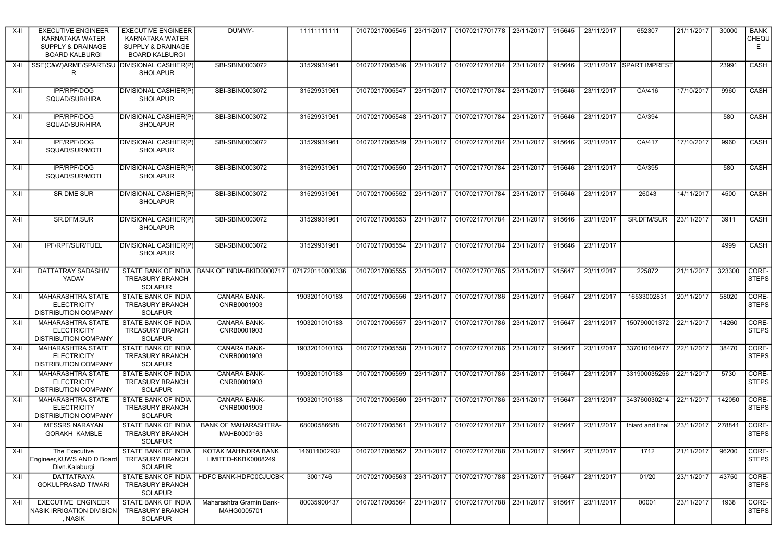| X-II  | <b>EXECUTIVE ENGINEER</b><br>KARNATAKA WATER<br><b>SUPPLY &amp; DRAINAGE</b><br><b>BOARD KALBURGI</b> | <b>EXECUTIVE ENGINEER</b><br>KARNATAKA WATER<br><b>SUPPLY &amp; DRAINAGE</b><br><b>BOARD KALBURGI</b> | DUMMY-                                     | 11111111111     | 01070217005545 | 23/11/2017 | 01070217701778 23/11/2017 |            | 915645 | 23/11/2017 | 652307                   | 21/11/2017 | 30000  | <b>BANK</b><br>CHEQU<br>E |
|-------|-------------------------------------------------------------------------------------------------------|-------------------------------------------------------------------------------------------------------|--------------------------------------------|-----------------|----------------|------------|---------------------------|------------|--------|------------|--------------------------|------------|--------|---------------------------|
| X-II  | SSE(C&W)ARME/SPART/SU<br>R                                                                            | DIVISIONAL CASHIER(P)<br><b>SHOLAPUR</b>                                                              | SBI-SBIN0003072                            | 31529931961     | 01070217005546 | 23/11/2017 | 01070217701784            | 23/11/2017 | 915646 |            | 23/11/2017 SPART IMPREST |            | 23991  | CASH                      |
| X-II  | IPF/RPF/DOG<br>SQUAD/SUR/HIRA                                                                         | DIVISIONAL CASHIER(P)<br><b>SHOLAPUR</b>                                                              | SBI-SBIN0003072                            | 31529931961     | 01070217005547 | 23/11/2017 | 01070217701784 23/11/2017 |            | 915646 | 23/11/2017 | CA/416                   | 17/10/2017 | 9960   | CASH                      |
| X-II  | IPF/RPF/DOG<br>SQUAD/SUR/HIRA                                                                         | DIVISIONAL CASHIER(P)<br><b>SHOLAPUR</b>                                                              | SBI-SBIN0003072                            | 31529931961     | 01070217005548 | 23/11/2017 | 01070217701784            | 23/11/2017 | 915646 | 23/11/2017 | CA/394                   |            | 580    | CASH                      |
| X-II  | IPF/RPF/DOG<br>SQUAD/SUR/MOTI                                                                         | DIVISIONAL CASHIER(P)<br><b>SHOLAPUR</b>                                                              | SBI-SBIN0003072                            | 31529931961     | 01070217005549 | 23/11/2017 | 01070217701784 23/11/2017 |            | 915646 | 23/11/2017 | CA/417                   | 17/10/2017 | 9960   | CASH                      |
| X-II  | <b>IPF/RPF/DOG</b><br>SQUAD/SUR/MOTI                                                                  | DIVISIONAL CASHIER(P)<br><b>SHOLAPUR</b>                                                              | SBI-SBIN0003072                            | 31529931961     | 01070217005550 | 23/11/2017 | 01070217701784 23/11/2017 |            | 915646 | 23/11/2017 | CA/395                   |            | 580    | CASH                      |
| X-II  | SR DME SUR                                                                                            | DIVISIONAL CASHIER(P)<br><b>SHOLAPUR</b>                                                              | SBI-SBIN0003072                            | 31529931961     | 01070217005552 | 23/11/2017 | 01070217701784 23/11/2017 |            | 915646 | 23/11/2017 | 26043                    | 14/11/2017 | 4500   | CASH                      |
| X-II  | SR.DFM.SUR                                                                                            | DIVISIONAL CASHIER(P)<br><b>SHOLAPUR</b>                                                              | SBI-SBIN0003072                            | 31529931961     | 01070217005553 | 23/11/2017 | 01070217701784            | 23/11/2017 | 915646 | 23/11/2017 | SR.DFM/SUR               | 23/11/2017 | 3911   | CASH                      |
| X-II  | IPF/RPF/SUR/FUEL                                                                                      | DIVISIONAL CASHIER(P)<br><b>SHOLAPUR</b>                                                              | SBI-SBIN0003072                            | 31529931961     | 01070217005554 | 23/11/2017 | 01070217701784 23/11/2017 |            | 915646 | 23/11/2017 |                          |            | 4999   | CASH                      |
| X-II  | DATTATRAY SADASHIV<br>YADAV                                                                           | STATE BANK OF INDIA<br><b>TREASURY BRANCH</b><br><b>SOLAPUR</b>                                       | BANK OF INDIA-BKID0000717                  | 071720110000336 | 01070217005555 | 23/11/2017 | 01070217701785            | 23/11/2017 | 915647 | 23/11/2017 | 225872                   | 21/11/2017 | 323300 | CORE-<br><b>STEPS</b>     |
| X-II  | MAHARASHTRA STATE<br><b>ELECTRICITY</b><br><b>DISTRIBUTION COMPANY</b>                                | STATE BANK OF INDIA<br><b>TREASURY BRANCH</b><br><b>SOLAPUR</b>                                       | <b>CANARA BANK-</b><br>CNRB0001903         | 1903201010183   | 01070217005556 | 23/11/2017 | 01070217701786 23/11/2017 |            | 915647 | 23/11/2017 | 16533002831              | 20/11/2017 | 58020  | CORE-<br><b>STEPS</b>     |
| X-II  | <b>MAHARASHTRA STATE</b><br><b>ELECTRICITY</b><br><b>DISTRIBUTION COMPANY</b>                         | STATE BANK OF INDIA<br><b>TREASURY BRANCH</b><br><b>SOLAPUR</b>                                       | <b>CANARA BANK-</b><br>CNRB0001903         | 1903201010183   | 01070217005557 | 23/11/2017 | 01070217701786            | 23/11/2017 | 915647 | 23/11/2017 | 150790001372 22/11/2017  |            | 14260  | CORE-<br><b>STEPS</b>     |
| X-II  | MAHARASHTRA STATE<br><b>ELECTRICITY</b><br><b>DISTRIBUTION COMPANY</b>                                | STATE BANK OF INDIA<br><b>TREASURY BRANCH</b><br><b>SOLAPUR</b>                                       | CANARA BANK-<br>CNRB0001903                | 1903201010183   | 01070217005558 | 23/11/2017 | 01070217701786 23/11/2017 |            | 915647 | 23/11/2017 | 337010160477 22/11/2017  |            | 38470  | CORE-<br><b>STEPS</b>     |
| X-II  | <b>MAHARASHTRA STATE</b><br><b>ELECTRICITY</b><br><b>DISTRIBUTION COMPANY</b>                         | <b>STATE BANK OF INDIA</b><br><b>TREASURY BRANCH</b><br><b>SOLAPUR</b>                                | <b>CANARA BANK-</b><br>CNRB0001903         | 1903201010183   | 01070217005559 | 23/11/2017 | 01070217701786 23/11/2017 |            | 915647 | 23/11/2017 | 331900035256             | 22/11/2017 | 5730   | CORE-<br><b>STEPS</b>     |
| X-II  | <b>MAHARASHTRA STATE</b><br><b>ELECTRICITY</b><br><b>DISTRIBUTION COMPANY</b>                         | STATE BANK OF INDIA<br><b>TREASURY BRANCH</b><br><b>SOLAPUR</b>                                       | <b>CANARA BANK-</b><br>CNRB0001903         | 1903201010183   | 01070217005560 | 23/11/2017 | 01070217701786 23/11/2017 |            | 915647 | 23/11/2017 | 343760030214             | 22/11/2017 | 142050 | CORE-<br><b>STEPS</b>     |
| X-II  | <b>MESSRS NARAYAN</b><br><b>GORAKH KAMBLE</b>                                                         | <b>STATE BANK OF INDIA</b><br><b>TREASURY BRANCH</b><br>SOLAPUR                                       | <b>BANK OF MAHARASHTRA-</b><br>MAHB0000163 | 68000586688     | 01070217005561 | 23/11/2017 | 01070217701787            | 23/11/2017 | 915647 | 23/11/2017 | thiard and final         | 23/11/2017 | 278841 | CORE-<br><b>STEPS</b>     |
| $X-H$ | The Executive<br>Engineer, KUWS AND D Board<br>Divn.Kalaburgi                                         | STATE BANK OF INDIA<br><b>TREASURY BRANCH</b><br><b>SOLAPUR</b>                                       | KOTAK MAHINDRA BANK<br>LIMITED-KKBK0008249 | 146011002932    | 01070217005562 | 23/11/2017 | 01070217701788            | 23/11/2017 | 915647 | 23/11/2017 | 1712                     | 21/11/2017 | 96200  | CORE-<br><b>STEPS</b>     |
| X-II  | <b>DATTATRAYA</b><br><b>GOKULPRASAD TIWARI</b>                                                        | STATE BANK OF INDIA<br><b>TREASURY BRANCH</b><br><b>SOLAPUR</b>                                       | HDFC BANK-HDFC0CJUCBK                      | 3001746         | 01070217005563 | 23/11/2017 | 01070217701788 23/11/2017 |            | 915647 | 23/11/2017 | 01/20                    | 23/11/2017 | 43750  | CORE-<br><b>STEPS</b>     |
| X-II  | <b>EXECUTIVE ENGINEER</b><br>NASIK IRRIGATION DIVISION<br>, NASIK                                     | <b>STATE BANK OF INDIA</b><br><b>TREASURY BRANCH</b><br><b>SOLAPUR</b>                                | Maharashtra Gramin Bank-<br>MAHG0005701    | 80035900437     | 01070217005564 | 23/11/2017 | 01070217701788 23/11/2017 |            | 915647 | 23/11/2017 | 00001                    | 23/11/2017 | 1938   | CORE-<br><b>STEPS</b>     |